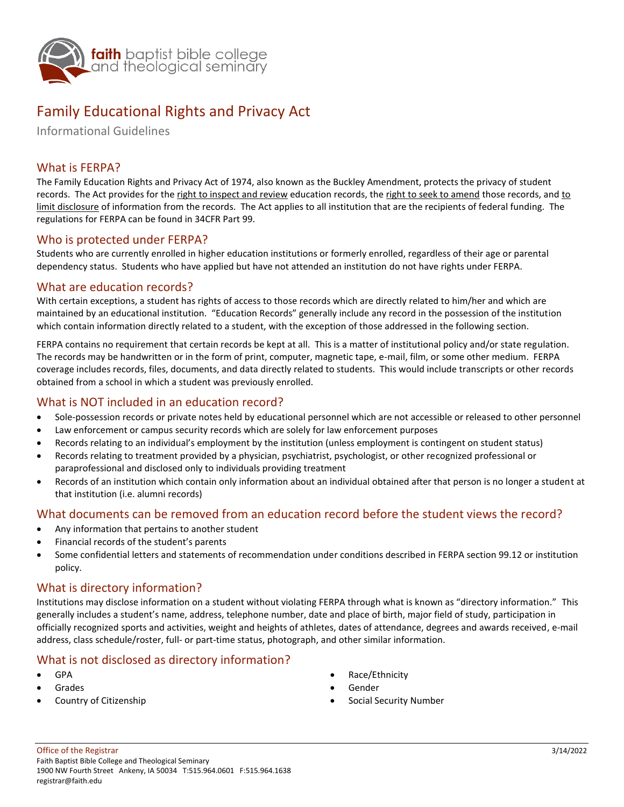

# Family Educational Rights and Privacy Act

Informational Guidelines

## What is FERPA?

The Family Education Rights and Privacy Act of 1974, also known as the Buckley Amendment, protects the privacy of student records. The Act provides for the right to inspect and review education records, the right to seek to amend those records, and to limit disclosure of information from the records. The Act applies to all institution that are the recipients of federal funding. The regulations for FERPA can be found in 34CFR Part 99.

#### Who is protected under FERPA?

Students who are currently enrolled in higher education institutions or formerly enrolled, regardless of their age or parental dependency status. Students who have applied but have not attended an institution do not have rights under FERPA.

#### What are education records?

With certain exceptions, a student has rights of access to those records which are directly related to him/her and which are maintained by an educational institution. "Education Records" generally include any record in the possession of the institution which contain information directly related to a student, with the exception of those addressed in the following section.

FERPA contains no requirement that certain records be kept at all. This is a matter of institutional policy and/or state regulation. The records may be handwritten or in the form of print, computer, magnetic tape, e-mail, film, or some other medium. FERPA coverage includes records, files, documents, and data directly related to students. This would include transcripts or other records obtained from a school in which a student was previously enrolled.

### What is NOT included in an education record?

- Sole-possession records or private notes held by educational personnel which are not accessible or released to other personnel
- Law enforcement or campus security records which are solely for law enforcement purposes
- Records relating to an individual's employment by the institution (unless employment is contingent on student status)
- Records relating to treatment provided by a physician, psychiatrist, psychologist, or other recognized professional or paraprofessional and disclosed only to individuals providing treatment
- Records of an institution which contain only information about an individual obtained after that person is no longer a student at that institution (i.e. alumni records)

# What documents can be removed from an education record before the student views the record?

- Any information that pertains to another student
- Financial records of the student's parents
- Some confidential letters and statements of recommendation under conditions described in FERPA section 99.12 or institution policy.

## What is directory information?

Institutions may disclose information on a student without violating FERPA through what is known as "directory information." This generally includes a student's name, address, telephone number, date and place of birth, major field of study, participation in officially recognized sports and activities, weight and heights of athletes, dates of attendance, degrees and awards received, e-mail address, class schedule/roster, full- or part-time status, photograph, and other similar information.

## What is not disclosed as directory information?

- GPA
- Grades
- Country of Citizenship
- Race/Ethnicity
- Gender
- Social Security Number